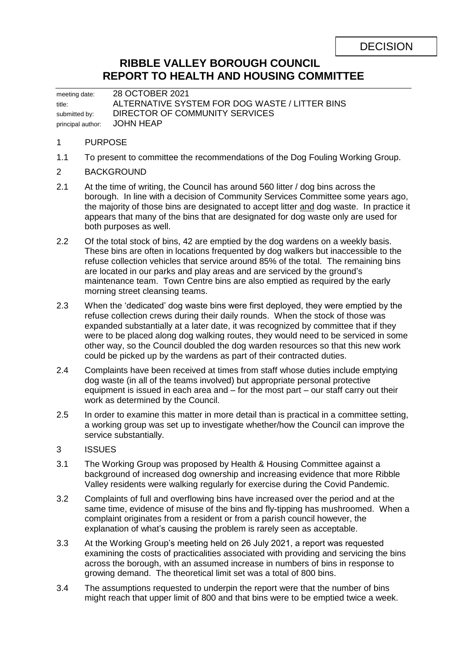# **RIBBLE VALLEY BOROUGH COUNCIL REPORT TO HEALTH AND HOUSING COMMITTEE**

meeting date: 28 OCTOBER 2021 title: ALTERNATIVE SYSTEM FOR DOG WASTE / LITTER BINS submitted by: DIRECTOR OF COMMUNITY SERVICES principal author: JOHN HEAP

## 1 PURPOSE

- 1.1 To present to committee the recommendations of the Dog Fouling Working Group.
- 2 BACKGROUND
- 2.1 At the time of writing, the Council has around 560 litter / dog bins across the borough. In line with a decision of Community Services Committee some years ago, the majority of those bins are designated to accept litter and dog waste. In practice it appears that many of the bins that are designated for dog waste only are used for both purposes as well.
- 2.2 Of the total stock of bins, 42 are emptied by the dog wardens on a weekly basis. These bins are often in locations frequented by dog walkers but inaccessible to the refuse collection vehicles that service around 85% of the total. The remaining bins are located in our parks and play areas and are serviced by the ground's maintenance team. Town Centre bins are also emptied as required by the early morning street cleansing teams.
- 2.3 When the 'dedicated' dog waste bins were first deployed, they were emptied by the refuse collection crews during their daily rounds. When the stock of those was expanded substantially at a later date, it was recognized by committee that if they were to be placed along dog walking routes, they would need to be serviced in some other way, so the Council doubled the dog warden resources so that this new work could be picked up by the wardens as part of their contracted duties.
- 2.4 Complaints have been received at times from staff whose duties include emptying dog waste (in all of the teams involved) but appropriate personal protective equipment is issued in each area and – for the most part – our staff carry out their work as determined by the Council.
- 2.5 In order to examine this matter in more detail than is practical in a committee setting, a working group was set up to investigate whether/how the Council can improve the service substantially.

## 3 ISSUES

- 3.1 The Working Group was proposed by Health & Housing Committee against a background of increased dog ownership and increasing evidence that more Ribble Valley residents were walking regularly for exercise during the Covid Pandemic.
- 3.2 Complaints of full and overflowing bins have increased over the period and at the same time, evidence of misuse of the bins and fly-tipping has mushroomed. When a complaint originates from a resident or from a parish council however, the explanation of what's causing the problem is rarely seen as acceptable.
- 3.3 At the Working Group's meeting held on 26 July 2021, a report was requested examining the costs of practicalities associated with providing and servicing the bins across the borough, with an assumed increase in numbers of bins in response to growing demand. The theoretical limit set was a total of 800 bins.
- 3.4 The assumptions requested to underpin the report were that the number of bins might reach that upper limit of 800 and that bins were to be emptied twice a week.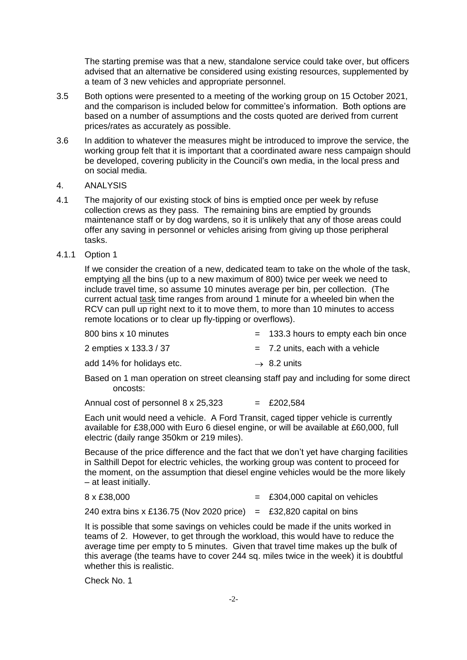The starting premise was that a new, standalone service could take over, but officers advised that an alternative be considered using existing resources, supplemented by a team of 3 new vehicles and appropriate personnel.

- 3.5 Both options were presented to a meeting of the working group on 15 October 2021, and the comparison is included below for committee's information. Both options are based on a number of assumptions and the costs quoted are derived from current prices/rates as accurately as possible.
- 3.6 In addition to whatever the measures might be introduced to improve the service, the working group felt that it is important that a coordinated aware ness campaign should be developed, covering publicity in the Council's own media, in the local press and on social media.

#### 4. ANALYSIS

- 4.1 The majority of our existing stock of bins is emptied once per week by refuse collection crews as they pass. The remaining bins are emptied by grounds maintenance staff or by dog wardens, so it is unlikely that any of those areas could offer any saving in personnel or vehicles arising from giving up those peripheral tasks.
- 4.1.1 Option 1

If we consider the creation of a new, dedicated team to take on the whole of the task, emptying all the bins (up to a new maximum of 800) twice per week we need to include travel time, so assume 10 minutes average per bin, per collection. (The current actual task time ranges from around 1 minute for a wheeled bin when the RCV can pull up right next to it to move them, to more than 10 minutes to access remote locations or to clear up fly-tipping or overflows).

| 800 bins x 10 minutes     | $=$ 133.3 hours to empty each bin once |
|---------------------------|----------------------------------------|
| 2 empties x 133.3 / 37    | $=$ 7.2 units, each with a vehicle     |
| add 14% for holidays etc. | $\rightarrow$ 8.2 units                |

Based on 1 man operation on street cleansing staff pay and including for some direct oncosts:

Annual cost of personnel  $8 \times 25,323 = £202,584$ 

Each unit would need a vehicle. A Ford Transit, caged tipper vehicle is currently available for £38,000 with Euro 6 diesel engine, or will be available at £60,000, full electric (daily range 350km or 219 miles).

Because of the price difference and the fact that we don't yet have charging facilities in Salthill Depot for electric vehicles, the working group was content to proceed for the moment, on the assumption that diesel engine vehicles would be the more likely – at least initially.

| 8 x £38,000 |  | $=$ £304,000 capital on vehicles |
|-------------|--|----------------------------------|
|-------------|--|----------------------------------|

240 extra bins x £136.75 (Nov 2020 price) = £32,820 capital on bins

It is possible that some savings on vehicles could be made if the units worked in teams of 2. However, to get through the workload, this would have to reduce the average time per empty to 5 minutes. Given that travel time makes up the bulk of this average (the teams have to cover 244 sq. miles twice in the week) it is doubtful whether this is realistic.

Check No. 1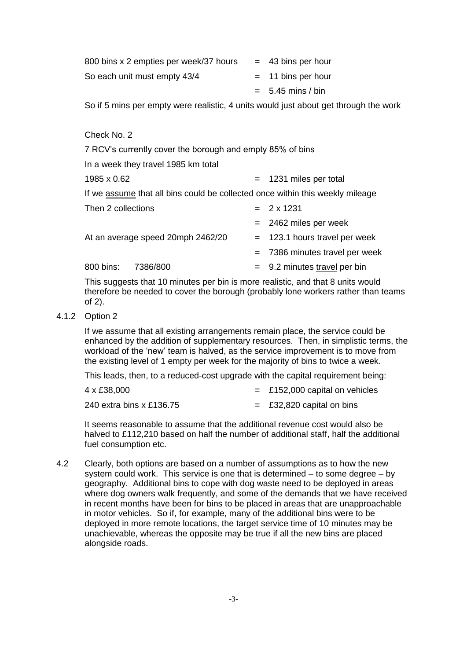| 800 bins x 2 empties per week/37 hours | $=$ 43 bins per hour |
|----------------------------------------|----------------------|
| So each unit must empty 43/4           | $=$ 11 bins per hour |
|                                        | $= 5.45$ mins / bin  |

So if 5 mins per empty were realistic, 4 units would just about get through the work

| Check No. 2                                                                   |     |                                 |  |  |
|-------------------------------------------------------------------------------|-----|---------------------------------|--|--|
| 7 RCV's currently cover the borough and empty 85% of bins                     |     |                                 |  |  |
| In a week they travel 1985 km total                                           |     |                                 |  |  |
| 1985 x 0.62                                                                   |     | $= 1231$ miles per total        |  |  |
| If we assume that all bins could be collected once within this weekly mileage |     |                                 |  |  |
| Then 2 collections                                                            |     | $= 2 \times 1231$               |  |  |
|                                                                               |     | $= 2462$ miles per week         |  |  |
| At an average speed 20mph 2462/20                                             |     | $=$ 123.1 hours travel per week |  |  |
|                                                                               | $=$ | 7386 minutes travel per week    |  |  |
| 800 bins:<br>7386/800                                                         |     | $=$ 9.2 minutes travel per bin  |  |  |

This suggests that 10 minutes per bin is more realistic, and that 8 units would therefore be needed to cover the borough (probably lone workers rather than teams of 2).

4.1.2 Option 2

If we assume that all existing arrangements remain place, the service could be enhanced by the addition of supplementary resources. Then, in simplistic terms, the workload of the 'new' team is halved, as the service improvement is to move from the existing level of 1 empty per week for the majority of bins to twice a week.

This leads, then, to a reduced-cost upgrade with the capital requirement being:

| 4 x £38,000              | $=$ £152,000 capital on vehicles |
|--------------------------|----------------------------------|
| 240 extra bins x £136.75 | $=$ £32,820 capital on bins      |

It seems reasonable to assume that the additional revenue cost would also be halved to £112,210 based on half the number of additional staff, half the additional fuel consumption etc.

4.2 Clearly, both options are based on a number of assumptions as to how the new system could work. This service is one that is determined – to some degree – by geography. Additional bins to cope with dog waste need to be deployed in areas where dog owners walk frequently, and some of the demands that we have received in recent months have been for bins to be placed in areas that are unapproachable in motor vehicles. So if, for example, many of the additional bins were to be deployed in more remote locations, the target service time of 10 minutes may be unachievable, whereas the opposite may be true if all the new bins are placed alongside roads.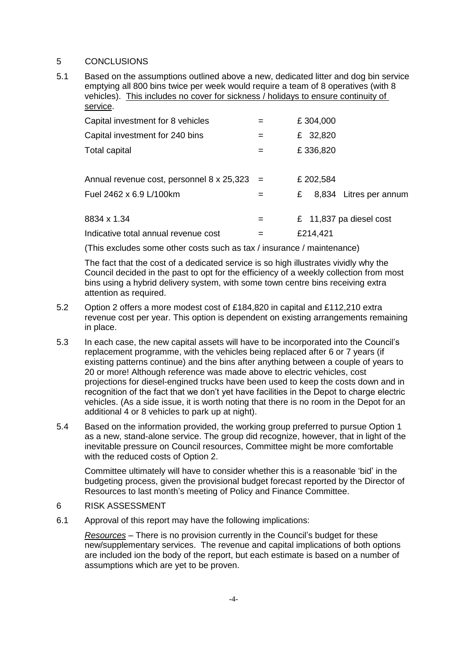### 5 CONCLUSIONS

5.1 Based on the assumptions outlined above a new, dedicated litter and dog bin service emptying all 800 bins twice per week would require a team of 8 operatives (with 8 vehicles). This includes no cover for sickness / holidays to ensure continuity of service.

| Capital investment for 8 vehicles                  | $=$ | £304,000                    |
|----------------------------------------------------|-----|-----------------------------|
| Capital investment for 240 bins                    | $=$ | £ 32,820                    |
| <b>Total capital</b>                               | $=$ | £336,820                    |
| Annual revenue cost, personnel $8 \times 25,323 =$ |     | £ 202,584                   |
| Fuel 2462 x 6.9 L/100km                            |     | 8,834 Litres per annum<br>£ |
| 8834 x 1.34                                        | $=$ | £ 11,837 pa diesel cost     |
| Indicative total annual revenue cost               |     | £214,421                    |

(This excludes some other costs such as tax / insurance / maintenance)

The fact that the cost of a dedicated service is so high illustrates vividly why the Council decided in the past to opt for the efficiency of a weekly collection from most bins using a hybrid delivery system, with some town centre bins receiving extra attention as required.

- 5.2 Option 2 offers a more modest cost of £184,820 in capital and £112,210 extra revenue cost per year. This option is dependent on existing arrangements remaining in place.
- 5.3 In each case, the new capital assets will have to be incorporated into the Council's replacement programme, with the vehicles being replaced after 6 or 7 years (if existing patterns continue) and the bins after anything between a couple of years to 20 or more! Although reference was made above to electric vehicles, cost projections for diesel-engined trucks have been used to keep the costs down and in recognition of the fact that we don't yet have facilities in the Depot to charge electric vehicles. (As a side issue, it is worth noting that there is no room in the Depot for an additional 4 or 8 vehicles to park up at night).
- 5.4 Based on the information provided, the working group preferred to pursue Option 1 as a new, stand-alone service. The group did recognize, however, that in light of the inevitable pressure on Council resources, Committee might be more comfortable with the reduced costs of Option 2.

Committee ultimately will have to consider whether this is a reasonable 'bid' in the budgeting process, given the provisional budget forecast reported by the Director of Resources to last month's meeting of Policy and Finance Committee.

#### 6 RISK ASSESSMENT

6.1 Approval of this report may have the following implications:

*Resources* – There is no provision currently in the Council's budget for these new/supplementary services. The revenue and capital implications of both options are included ion the body of the report, but each estimate is based on a number of assumptions which are yet to be proven.